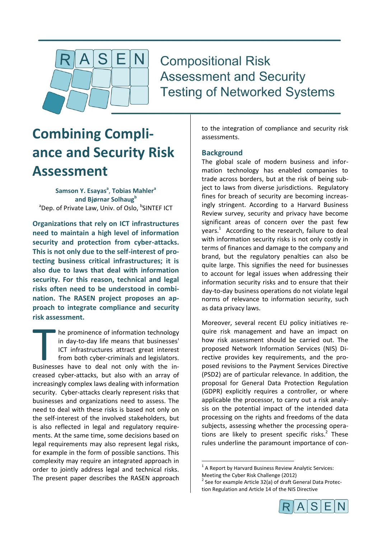

**Compositional Risk Assessment and Security Testing of Networked Systems** 

# **Combining Compliance and Security Risk Assessment**

**Samson Y. Esayas<sup>a</sup>** , **Tobias Mahler<sup>a</sup> and Bjørnar Solhaug<sup>b</sup>** <sup>a</sup>Dep. of Private Law, Univ. of Oslo, <sup>b</sup>SINTEF ICT

**Organizations that rely on ICT infrastructures need to maintain a high level of information security and protection from cyber-attacks. This is not only due to the self-interest of protecting business critical infrastructures; it is also due to laws that deal with information security. For this reason, technical and legal risks often need to be understood in combination. The RASEN project proposes an approach to integrate compliance and security risk assessment.**

he prominence of information technology in day-to-day life means that businesses' ICT infrastructures attract great interest from both cyber-criminals and legislators. The prominence of information technology<br>in day-to-day life means that businesses'<br>ICT infrastructures attract great interest<br>from both cyber-criminals and legislators.<br>Businesses have to deal not only with the increased cyber-attacks, but also with an array of increasingly complex laws dealing with information security. Cyber-attacks clearly represent risks that businesses and organizations need to assess. The need to deal with these risks is based not only on the self-interest of the involved stakeholders, but is also reflected in legal and regulatory requirements. At the same time, some decisions based on legal requirements may also represent legal risks, for example in the form of possible sanctions. This complexity may require an integrated approach in order to jointly address legal and technical risks. The present paper describes the RASEN approach to the integration of compliance and security risk assessments.

## **Background**

The global scale of modern business and information technology has enabled companies to trade across borders, but at the risk of being subject to laws from diverse jurisdictions. Regulatory fines for breach of security are becoming increasingly stringent. According to a Harvard Business Review survey, security and privacy have become significant areas of concern over the past few  $years<sup>1</sup>$  According to the research, failure to deal with information security risks is not only costly in terms of finances and damage to the company and brand, but the regulatory penalties can also be quite large. This signifies the need for businesses to account for legal issues when addressing their information security risks and to ensure that their day-to-day business operations do not violate legal norms of relevance to information security, such as data privacy laws.

Moreover, several recent EU policy initiatives require risk management and have an impact on how risk assessment should be carried out. The proposed Network Information Services (NIS) Directive provides key requirements, and the proposed revisions to the Payment Services Directive (PSD2) are of particular relevance. In addition, the proposal for General Data Protection Regulation (GDPR) explicitly requires a controller, or where applicable the processor, to carry out a risk analysis on the potential impact of the intended data processing on the rights and freedoms of the data subjects, assessing whether the processing operations are likely to present specific risks. $2$  These rules underline the paramount importance of con-

**.** 

<sup>&</sup>lt;sup>2</sup> See for example Article 32(a) of draft General Data Protection Regulation and Article 14 of the NIS Directive



 $1$  A Report by Harvard Business Review Analytic Services: Meeting the Cyber Risk Challenge (2012)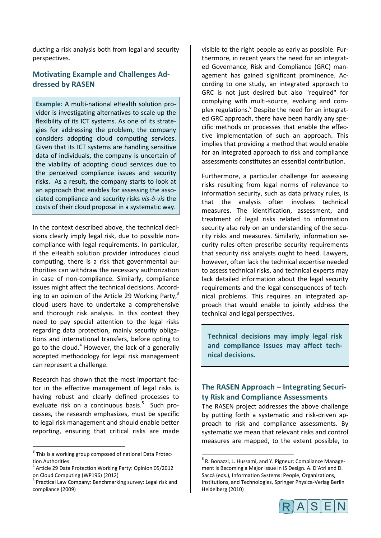ducting a risk analysis both from legal and security perspectives.

# **Motivating Example and Challenges Addressed by RASEN**

**Example:** A multi-national eHealth solution provider is investigating alternatives to scale up the flexibility of its ICT systems. As one of its strategies for addressing the problem, the company considers adopting cloud computing services. Given that its ICT systems are handling sensitive data of individuals, the company is uncertain of the viability of adopting cloud services due to the perceived compliance issues and security risks. As a result, the company starts to look at an approach that enables for assessing the associated compliance and security risks *vis-à-vis* the costs of their cloud proposal in a systematic way.

In the context described above, the technical decisions clearly imply legal risk, due to possible noncompliance with legal requirements. In particular, if the eHealth solution provider introduces cloud computing, there is a risk that governmental authorities can withdraw the necessary authorization in case of non-compliance. Similarly, compliance issues might affect the technical decisions. According to an opinion of the Article 29 Working Party,<sup>3</sup> cloud users have to undertake a comprehensive and thorough risk analysis. In this context they need to pay special attention to the legal risks regarding data protection, mainly security obligations and international transfers, before opting to go to the cloud.<sup>4</sup> However, the lack of a generally accepted methodology for legal risk management can represent a challenge.

Research has shown that the most important factor in the effective management of legal risks is having robust and clearly defined processes to evaluate risk on a continuous basis.<sup>5</sup> Such processes, the research emphasizes, must be specific to legal risk management and should enable better reporting, ensuring that critical risks are made

1

visible to the right people as early as possible. Furthermore, in recent years the need for an integrated Governance, Risk and Compliance (GRC) management has gained significant prominence. According to one study, an integrated approach to GRC is not just desired but also "required" for complying with multi-source, evolving and complex regulations.<sup>6</sup> Despite the need for an integrated GRC approach, there have been hardly any specific methods or processes that enable the effective implementation of such an approach. This implies that providing a method that would enable for an integrated approach to risk and compliance assessments constitutes an essential contribution.

Furthermore, a particular challenge for assessing risks resulting from legal norms of relevance to information security, such as data privacy rules, is that the analysis often involves technical measures. The identification, assessment, and treatment of legal risks related to information security also rely on an understanding of the security risks and measures. Similarly, information security rules often prescribe security requirements that security risk analysts ought to heed. Lawyers, however, often lack the technical expertise needed to assess technical risks, and technical experts may lack detailed information about the legal security requirements and the legal consequences of technical problems. This requires an integrated approach that would enable to jointly address the technical and legal perspectives.

**Technical decisions may imply legal risk and compliance issues may affect technical decisions.**

# **The RASEN Approach – Integrating Security Risk and Compliance Assessments**

The RASEN project addresses the above challenge by putting forth a systematic and risk-driven approach to risk and compliance assessments. By systematic we mean that relevant risks and control measures are mapped, to the extent possible, to

**.** 



<sup>&</sup>lt;sup>3</sup> This is a working group composed of national Data Protection Authorities.

<sup>4</sup> Article 29 Data Protection Working Party: Opinion 05/2012 on Cloud Computing (WP196) (2012)

<sup>&</sup>lt;sup>5</sup> Practical Law Company: Benchmarking survey: Legal risk and compliance (2009)

<sup>6</sup> R. Bonazzi, L. Hussami, and Y. Pigneur: Compliance Management is Becoming a Major Issue in IS Design. A. D'Atri and D. Saccà (eds.), Information Systems: People, Organizations, Institutions, and Technologies, Springer Physica-Verlag Berlin Heidelberg (2010)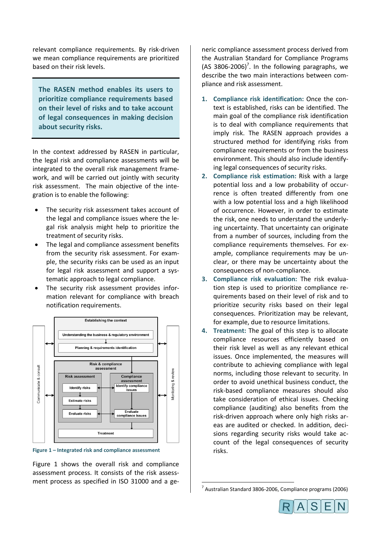relevant compliance requirements. By risk-driven we mean compliance requirements are prioritized based on their risk levels.

**The RASEN method enables its users to prioritize compliance requirements based on their level of risks and to take account of legal consequences in making decision about security risks.**

In the context addressed by RASEN in particular, the legal risk and compliance assessments will be integrated to the overall risk management framework, and will be carried out jointly with security risk assessment. The main objective of the integration is to enable the following:

- The security risk assessment takes account of the legal and compliance issues where the legal risk analysis might help to prioritize the treatment of security risks.
- The legal and compliance assessment benefits from the security risk assessment. For example, the security risks can be used as an input for legal risk assessment and support a systematic approach to legal compliance.
- The security risk assessment provides information relevant for compliance with breach notification requirements.



<span id="page-2-0"></span>**Figure 1 – Integrated risk and compliance assessment**

[Figure 1](#page-2-0) shows the overall risk and compliance assessment process. It consists of the risk assessment process as specified in ISO 31000 and a generic compliance assessment process derived from the Australian Standard for Compliance Programs  $(AS 3806-2006)^7$ . In the following paragraphs, we describe the two main interactions between compliance and risk assessment.

- **1. Compliance risk identification:** Once the context is established, risks can be identified. The main goal of the compliance risk identification is to deal with compliance requirements that imply risk. The RASEN approach provides a structured method for identifying risks from compliance requirements or from the business environment. This should also include identifying legal consequences of security risks.
- **2. Compliance risk estimation:** Risk with a large potential loss and a low probability of occurrence is often treated differently from one with a low potential loss and a high likelihood of occurrence. However, in order to estimate the risk, one needs to understand the underlying uncertainty. That uncertainty can originate from a number of sources, including from the compliance requirements themselves. For example, compliance requirements may be unclear, or there may be uncertainty about the consequences of non-compliance.
- **3. Compliance risk evaluation:** The risk evaluation step is used to prioritize compliance requirements based on their level of risk and to prioritize security risks based on their legal consequences. Prioritization may be relevant, for example, due to resource limitations.
- **4. Treatment:** The goal of this step is to allocate compliance resources efficiently based on their risk level as well as any relevant ethical issues. Once implemented, the measures will contribute to achieving compliance with legal norms, including those relevant to security. In order to avoid unethical business conduct, the risk-based compliance measures should also take consideration of ethical issues. Checking compliance (auditing) also benefits from the risk-driven approach where only high risks areas are audited or checked. In addition, decisions regarding security risks would take account of the legal consequences of security risks.

**.** 



<sup>7</sup> Australian Standard 3806-2006, Compliance programs (2006)